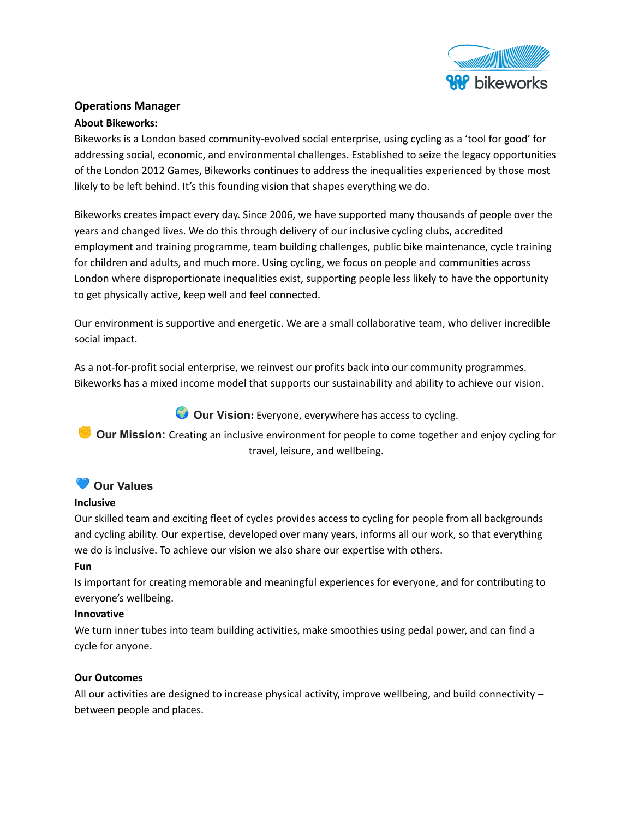

# **Operations Manager**

### **About Bikeworks:**

Bikeworks is a London based community-evolved social enterprise, using cycling as a 'tool for good' for addressing social, economic, and environmental challenges. Established to seize the legacy opportunities of the London 2012 Games, Bikeworks continues to address the inequalities experienced by those most likely to be left behind. It's this founding vision that shapes everything we do.

Bikeworks creates impact every day. Since 2006, we have supported many thousands of people over the years and changed lives. We do this through delivery of our inclusive cycling clubs, accredited employment and training programme, team building challenges, public bike maintenance, cycle training for children and adults, and much more. Using cycling, we focus on people and communities across London where disproportionate inequalities exist, supporting people less likely to have the opportunity to get physically active, keep well and feel connected.

Our environment is supportive and energetic. We are a small collaborative team, who deliver incredible social impact.

As a not-for-profit social enterprise, we reinvest our profits back into our community programmes. Bikeworks has a mixed income model that supports our sustainability and ability to achieve our vision.

**Our Vision:** Everyone, everywhere has access to cycling.

**Our Mission:** Creating an inclusive environment for people to come together and enjoy cycling for travel, leisure, and wellbeing.

# **Our Values**

### **Inclusive**

Our skilled team and exciting fleet of cycles provides access to cycling for people from all backgrounds and cycling ability. Our expertise, developed over many years, informs all our work, so that everything we do is inclusive. To achieve our vision we also share our expertise with others.

### **Fun**

Is important for creating memorable and meaningful experiences for everyone, and for contributing to everyone's wellbeing.

### **Innovative**

We turn inner tubes into team building activities, make smoothies using pedal power, and can find a cycle for anyone.

## **Our Outcomes**

All our activities are designed to increase physical activity, improve wellbeing, and build connectivity – between people and places.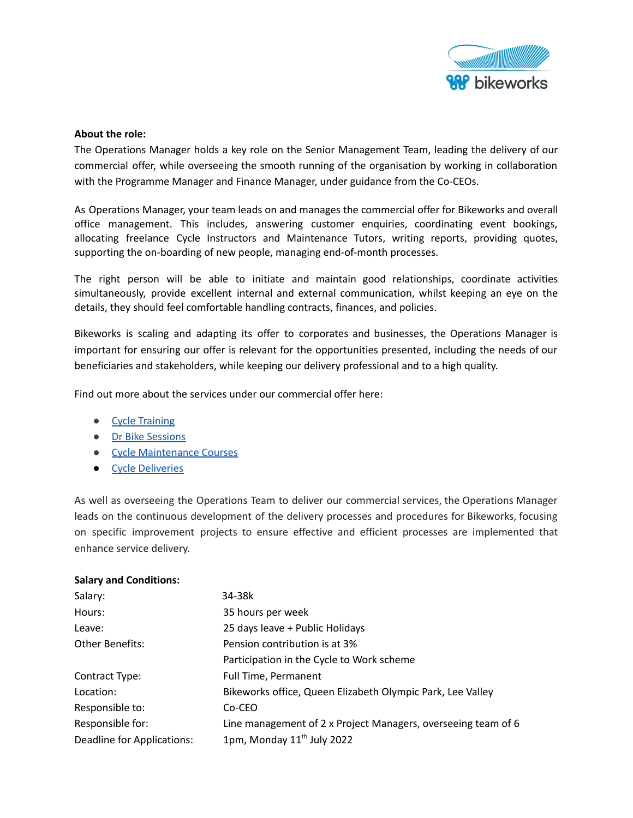

### **About the role:**

The Operations Manager holds a key role on the Senior Management Team, leading the delivery of our commercial offer, while overseeing the smooth running of the organisation by working in collaboration with the Programme Manager and Finance Manager, under guidance from the Co-CEOs.

As Operations Manager, your team leads on and manages the commercial offer for Bikeworks and overall office management. This includes, answering customer enquiries, coordinating event bookings, allocating freelance Cycle Instructors and Maintenance Tutors, writing reports, providing quotes, supporting the on-boarding of new people, managing end-of-month processes.

The right person will be able to initiate and maintain good relationships, coordinate activities simultaneously, provide excellent internal and external communication, whilst keeping an eye on the details, they should feel comfortable handling contracts, finances, and policies.

Bikeworks is scaling and adapting its offer to corporates and businesses, the Operations Manager is important for ensuring our offer is relevant for the opportunities presented, including the needs of our beneficiaries and stakeholders, while keeping our delivery professional and to a high quality.

Find out more about the services under our commercial offer here:

- Cycle [Training](https://www.bikeworks.org.uk/cycle-training/cycle-training/)
- Dr Bike [Sessions](https://www.bikeworks.org.uk/dr-bikes/dr-bikes)
- Cycle [Maintenance](https://www.bikeworks.org.uk/Event/maintenance-courses/) Courses
- Cycle [Deliveries](https://www.bikeworks.org.uk/courier-service/)

As well as overseeing the Operations Team to deliver our commercial services, the Operations Manager leads on the continuous development of the delivery processes and procedures for Bikeworks, focusing on specific improvement projects to ensure effective and efficient processes are implemented that enhance service delivery.

| <b>Salary and Conditions:</b> |                                                               |
|-------------------------------|---------------------------------------------------------------|
| Salary:                       | 34-38k                                                        |
| Hours:                        | 35 hours per week                                             |
| Leave:                        | 25 days leave + Public Holidays                               |
| <b>Other Benefits:</b>        | Pension contribution is at 3%                                 |
|                               | Participation in the Cycle to Work scheme                     |
| Contract Type:                | Full Time, Permanent                                          |
| Location:                     | Bikeworks office, Queen Elizabeth Olympic Park, Lee Valley    |
| Responsible to:               | Co-CEO                                                        |
| Responsible for:              | Line management of 2 x Project Managers, overseeing team of 6 |
| Deadline for Applications:    | 1pm, Monday 11 <sup>th</sup> July 2022                        |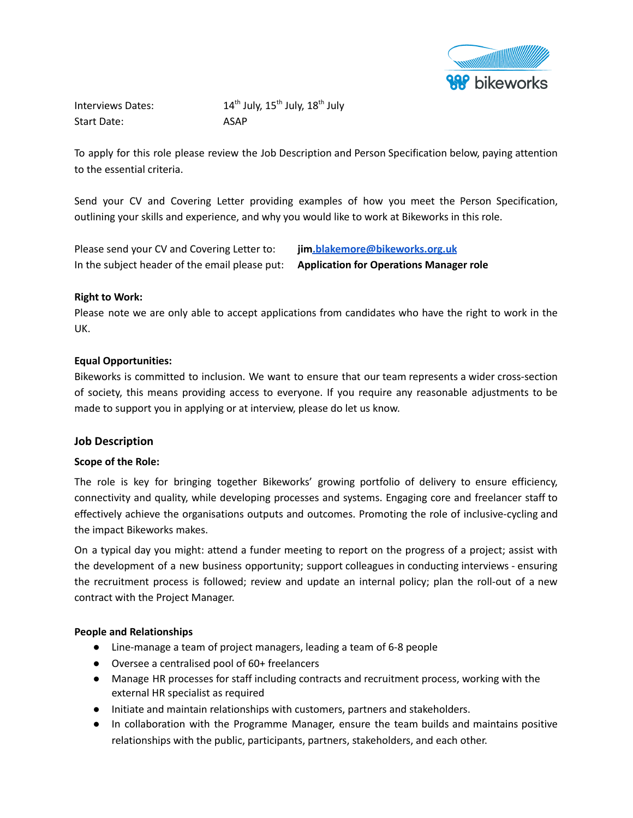

Interviews Dates: <sup>th</sup> July, 15<sup>th</sup> July, 18<sup>th</sup> July Start Date: ASAP

To apply for this role please review the Job Description and Person Specification below, paying attention to the essential criteria.

Send your CV and Covering Letter providing examples of how you meet the Person Specification, outlining your skills and experience, and why you would like to work at Bikeworks in this role.

Please send your CV and Covering Letter to: **ji[m.blakemore@bikeworks.org.uk](mailto:beth.nichols@bikeworks.org.uk)** In the subject header of the email please put: **Application for Operations Manager role**

#### **Right to Work:**

Please note we are only able to accept applications from candidates who have the right to work in the UK.

#### **Equal Opportunities:**

Bikeworks is committed to inclusion. We want to ensure that our team represents a wider cross-section of society, this means providing access to everyone. If you require any reasonable adjustments to be made to support you in applying or at interview, please do let us know.

#### **Job Description**

#### **Scope of the Role:**

The role is key for bringing together Bikeworks' growing portfolio of delivery to ensure efficiency, connectivity and quality, while developing processes and systems. Engaging core and freelancer staff to effectively achieve the organisations outputs and outcomes. Promoting the role of inclusive-cycling and the impact Bikeworks makes.

On a typical day you might: attend a funder meeting to report on the progress of a project; assist with the development of a new business opportunity; support colleagues in conducting interviews - ensuring the recruitment process is followed; review and update an internal policy; plan the roll-out of a new contract with the Project Manager.

#### **People and Relationships**

- Line-manage a team of project managers, leading a team of 6-8 people
- Oversee a centralised pool of 60+ freelancers
- Manage HR processes for staff including contracts and recruitment process, working with the external HR specialist as required
- Initiate and maintain relationships with customers, partners and stakeholders.
- In collaboration with the Programme Manager, ensure the team builds and maintains positive relationships with the public, participants, partners, stakeholders, and each other.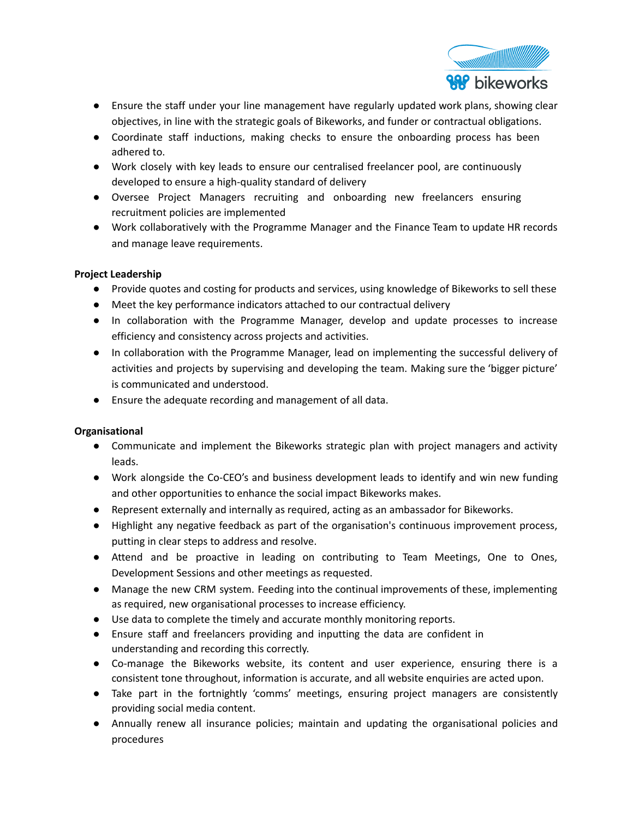

- Ensure the staff under your line management have regularly updated work plans, showing clear objectives, in line with the strategic goals of Bikeworks, and funder or contractual obligations.
- Coordinate staff inductions, making checks to ensure the onboarding process has been adhered to.
- Work closely with key leads to ensure our centralised freelancer pool, are continuously developed to ensure a high-quality standard of delivery
- Oversee Project Managers recruiting and onboarding new freelancers ensuring recruitment policies are implemented
- Work collaboratively with the Programme Manager and the Finance Team to update HR records and manage leave requirements.

## **Project Leadership**

- Provide quotes and costing for products and services, using knowledge of Bikeworks to sell these
- Meet the key performance indicators attached to our contractual delivery
- In collaboration with the Programme Manager, develop and update processes to increase efficiency and consistency across projects and activities.
- In collaboration with the Programme Manager, lead on implementing the successful delivery of activities and projects by supervising and developing the team. Making sure the 'bigger picture' is communicated and understood.
- Ensure the adequate recording and management of all data.

## **Organisational**

- Communicate and implement the Bikeworks strategic plan with project managers and activity leads.
- Work alongside the Co-CEO's and business development leads to identify and win new funding and other opportunities to enhance the social impact Bikeworks makes.
- Represent externally and internally as required, acting as an ambassador for Bikeworks.
- Highlight any negative feedback as part of the organisation's continuous improvement process, putting in clear steps to address and resolve.
- Attend and be proactive in leading on contributing to Team Meetings, One to Ones, Development Sessions and other meetings as requested.
- Manage the new CRM system. Feeding into the continual improvements of these, implementing as required, new organisational processes to increase efficiency.
- Use data to complete the timely and accurate monthly monitoring reports.
- Ensure staff and freelancers providing and inputting the data are confident in understanding and recording this correctly.
- Co-manage the Bikeworks website, its content and user experience, ensuring there is a consistent tone throughout, information is accurate, and all website enquiries are acted upon.
- Take part in the fortnightly 'comms' meetings, ensuring project managers are consistently providing social media content.
- Annually renew all insurance policies; maintain and updating the organisational policies and procedures